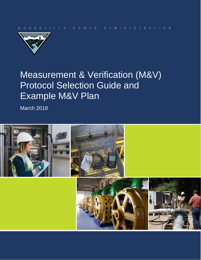

# Measurement & Verification (M&V) Protocol Selection Guide and Example M&V Plan

March 2018

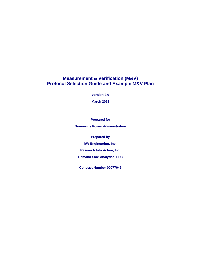### **Measurement & Verification (M&V) Protocol Selection Guide and Example M&V Plan**

**Version 2.0**

**March 2018**

**Prepared for Bonneville Power Administration**

**Prepared by**

**kW Engineering, Inc.**

**Research Into Action, Inc.**

**Demand Side Analytics, LLC**

**Contract Number 00077045**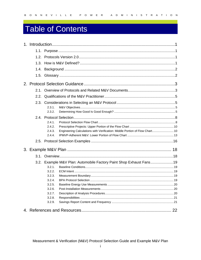# **Table of Contents**

|  | 2.3.1.                                                                                |  |
|--|---------------------------------------------------------------------------------------|--|
|  | 2.3.2.                                                                                |  |
|  |                                                                                       |  |
|  | 2.4.1.                                                                                |  |
|  | 2.4.2.                                                                                |  |
|  | Engineering Calculations with Verification: Middle Portion of Flow Chart 10<br>2.4.3. |  |
|  | 2.4.4.                                                                                |  |
|  |                                                                                       |  |
|  |                                                                                       |  |
|  |                                                                                       |  |
|  | 3.2. Example M&V Plan: Automobile Factory Paint Shop Exhaust Fans19                   |  |
|  | 3.2.1.                                                                                |  |
|  | 3.2.2.                                                                                |  |
|  | 3.2.3.                                                                                |  |
|  | 3.2.4.                                                                                |  |
|  | 3.2.5.                                                                                |  |
|  | 3.2.6.                                                                                |  |
|  | 3.2.7.                                                                                |  |
|  | 3.2.8.                                                                                |  |
|  | 3.2.9.                                                                                |  |
|  |                                                                                       |  |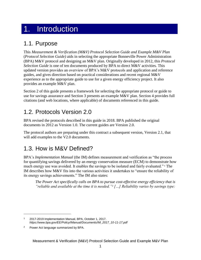# <span id="page-3-0"></span>1. Introduction

# <span id="page-3-1"></span>1.1. Purpose

This *Measurement & Verification (M&V) Protocol Selection Guide and Example M&V Plan* (*Protocol Selection Guide)* aids in selecting the appropriate Bonneville Power Administration (BPA) M&V protocol and designing an M&V plan. Originally developed in 2012, this *Protocol Selection Guide* is one of ten documents produced by BPA to direct M&V activities. This updated version provides an overview of BPA's M&V protocols and application and reference guides, and gives direction based on practical considerations and recent regional M&V experience as to the appropriate guide to use for a given energy efficiency project. It also provides an example M&V plan.

Section 2 of this guide presents a framework for selecting the appropriate protocol or guide to use for savings assurance and Section 3 presents an example M&V plan. Section 4 provides full citations (and web locations, where applicable) of documents referenced in this guide.

# <span id="page-3-2"></span>1.2. Protocols Version 2.0

BPA revised the protocols described in this guide in 2018. BPA published the original documents in 2012 as Version 1.0. The current guides are Version 2.0.

The protocol authors are preparing under this contract a subsequent version, Version 2.1, that will add examples to the V2.0 documents.

# <span id="page-3-3"></span>1.3. How is M&V Defined?

BPA's *Implementation Manual* (the IM) defines measurement and verification as "the process for quantifying savings delivered by an energy conservation measure (ECM) to demonstrate how much energy use was avoided. It enables the savings to be isolated and fairly evaluated." <sup>1</sup> The IM describes how M&V fits into the various activities it undertakes to "ensure the reliability of its energy savings achievements." The IM also states:

*The Power Act specifically calls on BPA to pursue cost-effective energy efficiency that is "reliable and available at the time it is needed."<sup>2</sup> […] Reliability varies by savings type:*

 $\overline{a}$ 

<sup>1</sup> 2017-2019 Implementation Manual, BPA, October 1, 2017. *[https://www.bpa.gov/EE/Policy/IManual/Documents/IM\\_2017\\_10-11-17.pdf](https://www.bpa.gov/EE/Policy/IManual/Documents/IM_2017_10-11-17.pdf)*

<sup>2</sup> Power Act language summarized by BPA.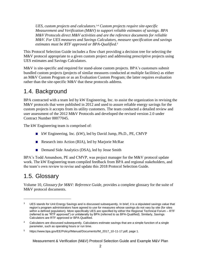*UES, custom projects and calculators. <sup>3</sup>,<sup>4</sup> Custom projects require site-specific Measurement and Verification (M&V) to support reliable estimates of savings. BPA M&V Protocols direct M&V activities and are the reference documents for reliable M&V. For UES measures and Savings Calculators, measure specification and savings estimates must be RTF approved or BPA-Qualified. 5*

This Protocol Selection Guide includes a flow chart providing a decision tree for selecting the M&V protocol appropriate to a given custom project and addressing prescriptive projects using UES estimates and Savings Calculators.

M&V is site-specific and required for stand-alone custom projects. BPA's customers submit bundled custom projects (projects of similar measures conducted at multiple facilities) as either an M&V Custom Program or as an Evaluation Custom Program; the latter requires evaluation rather than the site-specific M&V that these protocols address.

# <span id="page-4-0"></span>1.4. Background

BPA contracted with a team led by kW Engineering, Inc. to assist the organization in revising the M&V protocols that were published in 2012 and used to assure reliable energy savings for the custom projects it accepts from its utility customers. The team conducted a detailed review and user assessment of the 2012 M&V Protocols and developed the revised version 2.0 under Contract Number 00077045.

The kW Engineering team is comprised of:

- kW Engineering, Inc. (kW), led by David Jump, Ph.D., PE, CMVP
- Research into Action (RIA), led by Marjorie McRae
- Demand Side Analytics (DSA), led by Jesse Smith

BPA's Todd Amundson, PE and CMVP, was project manager for the M&V protocol update work. The kW Engineering team compiled feedback from BPA and regional stakeholders, and the team's own review to revise and update this 2018 Protocol Selection Guide.

# <span id="page-4-1"></span>1.5. Glossary

 $\overline{a}$ 

Volume 10, *Glossary for M&V: Reference Guide,* provides a complete glossary for the suite of M&V protocol documents.

<sup>&</sup>lt;sup>3</sup> UES stands for Unit Energy Savings and is discussed subsequently. In brief, it is a stipulated savings value that region's program administrators have agreed to use for measures whose savings do not vary by site (for sites within a defined population). More specifically UES are specified by either the Regional Technical Forum – RTF (referred to as "RTF approved") or unilaterally by BPA (referred to as BPA-Qualified). Similarly, Savings Calculators are RTF approved or BPA-Qualified.

<sup>4</sup> Calculators are discussed subsequently. Calculators estimate savings that are a simple function of a single parameter, such as operating hours or run time.

<sup>5</sup> https://www.bpa.gov/EE/Policy/IManual/Documents/IM\_2017\_10-11-17.pdf, page 1.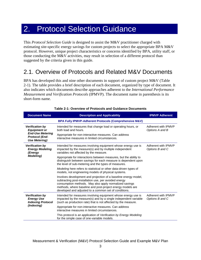# <span id="page-5-0"></span>2. Protocol Selection Guidance

This *Protocol Selection Guide* is designed to assist the M&V practitioner charged with estimating site-specific energy savings for custom projects to select the appropriate BPA M&V protocol. However, unique project characteristics or concerns identified by BPA, utility staff, or those conducting the M&V activities, may result in selection of a different protocol than suggested by the criteria given in this guide.

# <span id="page-5-1"></span>2.1. Overview of Protocols and Related M&V Documents

BPA has developed this and nine other documents in support of custom project M&V [\(Table](#page-5-2)  [2-1\)](#page-5-2). The table provides a brief description of each document, organized by type of document. It also indicates which documents describe approaches adherent to the *International Performance Measurement and Verification Protocols* (IPMVP)*.* The document name in parenthesis is its short-form name.

<span id="page-5-2"></span>

| <b>Document Name</b>                                                    | <b>Description and Applicability</b>                                                                                                                                                                                                                                                                      | <b>IPMVP Adherent</b>                  |  |  |  |
|-------------------------------------------------------------------------|-----------------------------------------------------------------------------------------------------------------------------------------------------------------------------------------------------------------------------------------------------------------------------------------------------------|----------------------------------------|--|--|--|
|                                                                         | BPA Fully IPMVP-Adherent Protocols (Comprehensive M&V)                                                                                                                                                                                                                                                    |                                        |  |  |  |
| <b>Verification by</b><br><b>Equipment or</b>                           | Intended for measures that change load or operating hours, or<br>both load and hours.                                                                                                                                                                                                                     | Adherent with IPMVP<br>Options A and B |  |  |  |
| <b>End-Use Metering</b><br><b>Protocol (End-</b><br>Use Metering)       | Appropriate for non-interactive measures. Can address<br>interactive measures in limited circumstances.                                                                                                                                                                                                   |                                        |  |  |  |
| <b>Verification by</b><br><b>Energy Modeling</b><br>(Energy             | Intended for measures involving equipment whose energy use is<br>impacted by the measure(s) and by multiple independent<br>variables not affected by the measure.                                                                                                                                         | Adherent with IPMVP<br>Options B and C |  |  |  |
| <b>Modeling)</b>                                                        | Appropriate for interactions between measures, but the ability to<br>distinguish between savings for each measure is dependent upon<br>the level of sub-metering and the types of measures.                                                                                                               |                                        |  |  |  |
|                                                                         | Modeling here refers to statistical or other data-driven types of<br>models, not engineering models of physical systems.                                                                                                                                                                                  |                                        |  |  |  |
|                                                                         | Involves development and projection of a baseline energy model,<br>subtracting post-installation use, per avoided energy<br>consumption methods. May also apply normalized savings<br>methods, where baseline and post-project energy models are<br>developed and adjusted to a common set of conditions. |                                        |  |  |  |
| <b>Verification by</b><br><b>Energy Use</b><br><b>Indexing Protocol</b> | Intended for measures involving equipment whose energy use is<br>impacted by the measure(s) and by a single independent variable<br>(such as production rate) that is not affected by the measure.                                                                                                        | Adherent with IPMVP<br>Options B and C |  |  |  |
| (Indexing)                                                              | Appropriate for non-interactive measures. Can address<br>interactive measures in limited circumstances.                                                                                                                                                                                                   |                                        |  |  |  |
|                                                                         | This protocol is an application of Verification by Energy Modeling<br>for the simple case of one-variable models.                                                                                                                                                                                         |                                        |  |  |  |

|  | Table 2-1: Overview of Protocols and Guidance Documents |  |
|--|---------------------------------------------------------|--|
|  |                                                         |  |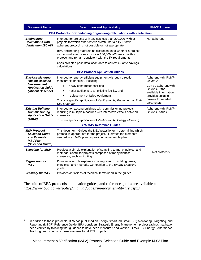| <b>Document Name</b>                                                                                         | <b>Description and Applicability</b>                                                                                                                                                        | <b>IPMVP Adherent</b>                    |  |  |
|--------------------------------------------------------------------------------------------------------------|---------------------------------------------------------------------------------------------------------------------------------------------------------------------------------------------|------------------------------------------|--|--|
| <b>BPA Protocols for Conducting Engineering Calculations with Verification</b>                               |                                                                                                                                                                                             |                                          |  |  |
| <b>Engineering</b><br><b>Calculations with</b><br><b>Verification (ECwV)</b>                                 | Intended for projects with savings less than 200,000 kWh or<br>projects for which other criteria dictate that a fully IPMVP-<br>adherent protocol is not possible or not appropriate.       | Not adherent                             |  |  |
|                                                                                                              | BPA engineering staff retains discretion as to whether a project<br>with annual energy savings over 200,000 kWh may use this<br>protocol and remain consistent with the IM requirements.    |                                          |  |  |
|                                                                                                              | Uses collected post-installation data to correct ex-ante savings<br>calculations.                                                                                                           |                                          |  |  |
|                                                                                                              | <b>BPA Protocol Application Guides</b>                                                                                                                                                      |                                          |  |  |
| <b>End-Use Metering</b><br><b>Absent Baseline</b>                                                            | Intended for energy-efficient equipment without a directly-<br>measurable baseline, including:                                                                                              | Adherent with IPMVP<br>Option A          |  |  |
| <b>Measurement</b><br><b>Application Guide</b>                                                               | newly constructed facilities                                                                                                                                                                | Can be adherent with                     |  |  |
| (Absent Baseline)                                                                                            | major additions to an existing facility, and                                                                                                                                                | Option B if the<br>available information |  |  |
|                                                                                                              | replacement of failed equipment.                                                                                                                                                            | provides suitable                        |  |  |
|                                                                                                              | This is a specific application of Verification by Equipment or End-<br>Use Metering.                                                                                                        | proxies for needed<br>parameters         |  |  |
| <b>Existing Building</b><br><b>Commissioning</b><br><b>Application Guide</b>                                 | Intended for existing buildings with commissioning projects<br>resulting in multiple measures with interactive effects between<br>measures.                                                 | Adherent with IPMVP<br>Options B and C   |  |  |
| (EBCx)                                                                                                       | This is a specific application of Verification by Energy Modeling.                                                                                                                          |                                          |  |  |
| <b>BPA M&amp;V Reference Guides</b>                                                                          |                                                                                                                                                                                             |                                          |  |  |
| <b>M&amp;V Protocol</b><br><b>Selection Guide</b><br>and Example<br><b>M&amp;V</b> Plan<br>(Selection Guide) | This document. Guides the M&V practitioner in determining which<br>protocol is appropriate for the project. Illustrates the elements<br>needed in an M&V plan by providing an example plan. |                                          |  |  |
| <b>Sampling for M&amp;V</b>                                                                                  | Provides a simple explanation of sampling terms, principles, and<br>methods. Useful for projects comprised of many identical<br>measures, such as lighting.                                 | Not protocols                            |  |  |
| <b>Regression for</b><br>M&V                                                                                 | Provides a simple explanation of regression modeling terms,<br>principles, and methods. Companion to the Energy Modeling<br>guide.                                                          |                                          |  |  |
| <b>Glossary for M&amp;V</b>                                                                                  | Provides definitions of technical terms used in the guides.                                                                                                                                 |                                          |  |  |

The suite of BPA protocols, application guides, and reference guides are available at *<https://www.bpa.gov/ee/policy/imanual/pages/im-document-library.aspx>*. 6

 $\overline{a}$ 

<sup>6</sup> In addition to these protocols, BPA has published an Energy Smart Industrial (ESI) Monitoring, Targeting, and Reporting (MT&R) Reference Guide. BPA considers Strategic Energy Management project savings that have been verified by following that guidance to have been measured and verified. BPA's ESI Energy Performance Tracking team conducts these analyses for all ESI projects.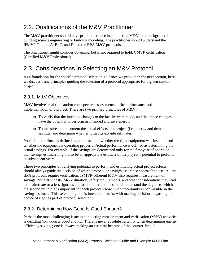# <span id="page-7-0"></span>2.2. Qualifications of the M&V Practitioner

The M&V practitioner should have prior experience in conducting M&V, or a background in building science engineering or building modeling. The practitioner should understand the IPMVP Options A, B, C, and D and the BPA M&V protocols.

The practitioner might consider obtaining, but is not required to hold, CMVP certification (Certified M&V Professional).

# <span id="page-7-1"></span>2.3. Considerations in Selecting an M&V Protocol

As a foundation for the specific protocol selection guidance we provide in the next section, here we discuss basic principles guiding the selection of a protocol appropriate for a given custom project.

## <span id="page-7-2"></span>2.3.1. M&V Objectives

M&V involves real time and/or retrospective assessments of the performance and implementation of a project. There are two primary principles of M&V:

- $\rightarrow$  To verify that the intended changes to the facility were made, and that those changes have the potential to perform as intended and save energy.
- $\rightarrow$  To measure and document the actual effects of a project (i.e., energy and demand savings) and determine whether it met its ex-ante estimates.

Potential to perform is defined as, and based on, whether the right equipment was installed and whether the equipment is operating properly. Actual performance is defined as determining the actual savings. For example, if the savings are determined only for the first year of operation, that savings estimate might also be an appropriate estimate of the project's potential to perform in subsequent years.

These two principles of verifying potential to perform and estimating actual project effects should always guide the decision of which protocol or savings assurance approach to use. All the BPA protocols require verification. IPMVP-adherent M&V also requires measurement of savings, but M&V costs, M&V duration, safety requirements, and other considerations may lead to an alternate or a less rigorous approach. Practitioners should understand the degree to which the second principle is important for each project – how much uncertainty is permissible in the savings estimate. This selection guide is intended to assist with making decisions regarding the choice of rigor as part of protocol selection.

## <span id="page-7-3"></span>2.3.2. Determining How Good Is Good Enough?

Perhaps the most challenging issue in conducting measurement and verification (M&V) activities is deciding *how good is good enough*. There is never absolute certainty when determining energy efficiency savings; one is always making an estimate because of the counter-factual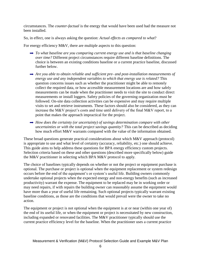circumstances. The *counter-factual* is the energy that would have been used had the measure not been installed.

So, in effect, one is always asking the question: *Actual effects as compared to what*?

For energy efficiency M&V, there are multiple aspects to this question:

- *To what baseline are you comparing current energy use and is that baseline changing over time?* Different project circumstances require different baseline definitions. The choice is between an existing conditions baseline or a current practice baseline, discussed further below.
- *Are you able to obtain reliable and sufficient pre- and post-installation measurements of energy use and any independent variables to which that energy use is related?* This question concerns issues such as whether the practitioner might be able to remotely collect the required data, or how accessible measurement locations are and how safely measurements can be made when the practitioner needs to visit the site to conduct direct measurements or install loggers. Safety policies of the governing organization must be followed. On-site data collection activities can be expensive and may require multiple visits to set and retrieve instruments. These factors should also be considered, as they can increase the M&V project's costs and time until delivery of the final M&V report, to a point that makes the approach impractical for the project.
- → *How does the certainty (or uncertainty) of savings determination compare with other uncertainties or with the total project savings quantity?* This can be described as deciding how much effort M&V warrants compared with the value of the information obtained.

These broad questions generate practical considerations about which M&V approach (protocol) is appropriate to use and what level of certainty (accuracy, reliability, etc.) one should achieve. This guide aims to help address these questions for BPA energy efficiency custom projects. Selection criteria based on these and other questions (described more specifically below) guide the M&V practitioner in selecting which BPA M&V protocol to apply.

The choice of baselines typically depends on whether or not the project or equipment purchase is optional. The purchase or project is optional when the equipment replacement or system redesign occurs before the end of the equipment's or system's useful life. Building owners commonly undertake optional projects when the expected energy and non-energy benefits (such as increased productivity) warrant the expense. The equipment to be replaced may be in working order or may need repairs, if with repairs the building owner can reasonably assume the equipment would have more than a year of useful life remaining. Such optional projects typically warrant existing baseline conditions, as those are the conditions that would prevail were the owner to take no action.

The equipment or project is not optional when the equipment is at or near (within one year of) the end of its useful life, or when the equipment or project is necessitated by new construction, including expanded or renovated facilities. The M&V practitioner typically should use the current practice efficiency level for the baseline. When the practitioner uses a current practice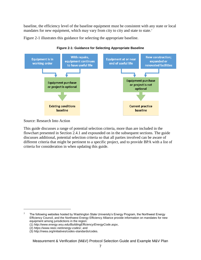baseline, the efficiency level of the baseline equipment must be consistent with any state or local mandates for new equipment, which may vary from city to city and state to state.<sup>7</sup>

<span id="page-9-0"></span>[Figure 2-1](#page-9-0) illustrates this guidance for selecting the appropriate baseline.



**Figure 2-1: Guidance for Selecting Appropriate Baseline** 

Source: Research Into Action

This guide discusses a range of potential selection criteria, more than are included in the flowchart presented in Section 2.4.1 and expounded on in the subsequent sections. The guide discusses additional, potential selection criteria so that all parties involved can be aware of different criteria that might be pertinent to a specific project, and to provide BPA with a list of criteria for consideration in when updating this guide.

 $\overline{a}$ 

Measurement & Verification (M&V) Protocol Selection Guide and Example M&V Plan

<sup>&</sup>lt;sup>7</sup> The following websites hosted by Washington State University's Energy Program, the Northwest Energy Efficiency Council, and the Northwest Energy Efficiency Alliance provide information on mandates for new equipment among jurisdictions in the region:

<sup>(1)</sup> *<http://www.energy.wsu.edu/BuildingEfficiency/EnergyCode.aspx>*,

<sup>(2)</sup> *<https://www.neec.net/energy-codes/>*, and

<sup>(3)</sup> http://neea.org/initiatives/codes-standards/codes.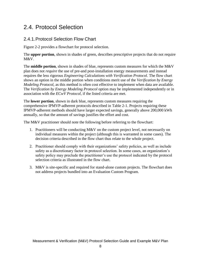# <span id="page-10-0"></span>2.4. Protocol Selection

## <span id="page-10-1"></span>2.4.1.Protocol Selection Flow Chart

[Figure 2-2](#page-11-0) provides a flowchart for protocol selection.

The **upper portion**, shown in shades of green, describes prescriptive projects that do not require M&V.

The **middle portion**, shown in shades of blue, represents custom measures for which the M&V plan does not *require* the use of pre-and post-installation energy measurements and instead requires the less rigorous *Engineering Calculations with Verification Protocol*. The flow chart shows an option in the middle portion when conditions merit use of the *Verification by Energy Modeling Protocol*, as this method is often cost effective to implement when data are available. The *Verification by Energy Modeling Protocol* option may be implemented independently or in association with the *ECwV Protocol*, if the listed criteria are met.

The **lower portion**, shown in dark blue, represents custom measures requiring the comprehensive IPMVP-adherent protocols described in [Table 2-1.](#page-5-2) Projects requiring these IPMVP-adherent methods should have larger expected savings, generally above 200,000 kWh annually, so that the amount of savings justifies the effort and cost.

The M&V practitioner should note the following before referring to the flowchart:

- 1. Practitioners will be conducting M&V on the custom project level, not necessarily on individual measures within the project (although this is warranted in some cases). The decision criteria described in the flow chart thus relate to the whole project.
- 2. Practitioner should comply with their organizations' safety policies, as well as include safety as a discretionary factor in protocol selection. In some cases, an organization's safety policy may preclude the practitioner's use the protocol indicated by the protocol selection criteria as illustrated in the flow chart.
- 3. M&V is site-specific and required for stand-alone custom projects. The flowchart does not address projects bundled into an Evaluation Custom Program.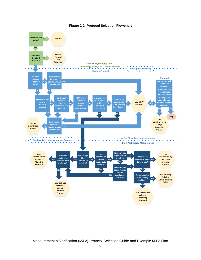<span id="page-11-0"></span>

#### **Figure 2-2: Protocol Selection Flowchart**

Measurement & Verification (M&V) Protocol Selection Guide and Example M&V Plan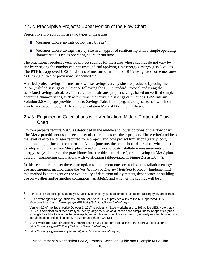## <span id="page-12-0"></span>2.4.2. Prescriptive Projects: Upper Portion of the Flow Chart

Prescriptive projects comprise two types of measures:

- Measures whose savings do not vary by site<sup>8</sup>
- Measures whose savings vary by site in an approved relationship with a simple operating characteristic, such as operating hours or run time

The practitioner produces verified project savings for measures whose savings do not vary by site by verifying the number of units installed and applying Unit Energy Savings (UES) values. The RTF has approved UES for dozens of measures; in addition, BPA designates some measures as BPA-Qualified or provisionally deemed.<sup>9,10</sup>

Verified project savings for measures whose savings vary by site are produced by using the BPA-Qualified savings calculator or following the RTF Standard Protocol and using the associated savings calculator. The calculator estimates project savings based on verified simple operating characteristics, such as run time, that drive the savings calculations. BPA Interim Solution 2.0 webpage provides links to Savings Calculators (organized by sector), <sup>11</sup> which can also be accessed through BPA's Implementation Manual Document Library.<sup>12</sup>

### <span id="page-12-1"></span>2.4.3. Engineering Calculations with Verification: Middle Portion of Flow **Chart**

Custom projects require M&V as described in the middle and lower portions of the flow chart. The M&V practitioner uses a second set of criteria to assess these projects. These criteria address the level of effort and rigor required for a project, and how project limitations (safety, cost, duration, etc.) influence the approach. At this juncture, the practitioner determines whether to develop a comprehensive M&V plan, based on pre- and post-installation measurements of energy use (which drops the practitioner into the third criteria set), or to develop an  $M\&V$  plan based on engineering calculations with verification (abbreviated in [Figure 2-2](#page-11-0) as *ECwV*).

In this second criteria set there is an option to implement one pre- and post-installation energy use measurement method using the *Verification by Energy Modeling Protocol*. Implementing this method is contingent on the availability of data from utility meters, dependence of building use on weather and/or another continuous variable(s), and whether the savings will be a

 $\overline{a}$ 

 $8$  For sites of a specific population type, typically defined by such descriptors as sector, building type, and climate.

<sup>9</sup> BPA's webpage "Energy Efficiency Interim Solution 2.0 Files" provides a link to the RTF approved UES Measures List. (*<https://www.bpa.gov/EE/Policy/Solutions/Pages/default.aspx>*)

<sup>10</sup> Version 6.0 of the list, effective October 1, 2017, provides an Excel worksheet of 2,299 active UES. Note that a UES is a combination of measure type (nearly 60 types, such as ductless heat pump), measure specifics (such as single head ductless or ducted mini-split), and application specifics (such as single family existing housing in a certain heating and cooling zone, of size greater than 4000 SF).

<sup>11</sup> BPA's webpage "Energy Efficiency Interim Solution 2.0 Files" provides a link to the approved calculators. *<https://www.bpa.gov/EE/Policy/Solutions/Pages/default.aspx>*

<sup>12</sup> *<https://www.bpa.gov/ee/policy/imanual/pages/im-document-library.aspx>*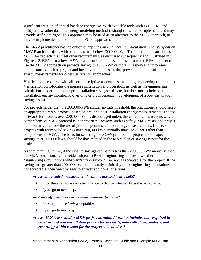significant fraction of annual baseline energy use. With available tools such as ECAM, and utility and weather data, the energy modeling method is straightforward to implement, and may provide sufficient rigor. This approach may be used as an alternate to the *ECwV* approach, or may be implemented in addition to an *ECwV* approach.

The M&V practitioner has the option of applying an *Engineering Calculations with Verification*  M&V Plan for projects with annual savings below 200,000 kWh. The practitioner can also use *ECwV* for projects that meet other requirements, as discussed subsequently and illustrated in [Figure 2-2.](#page-11-0) BPA also allows M&V practitioners to request approval from the BPA engineer to use the *ECwV* approach on projects saving 200,000 kWh or more in response to unforeseen circumstances, such as project and incentive timing issues that prevent obtaining sufficient energy measurements for other verification approaches.

Verification is required with all non-prescriptive approaches, including engineering calculations. Verification corroborates the measure installation and operation, as well as the engineering calculations underpinning the pre-installation savings estimate, but does not include postinstallation energy monitoring over time or the independent development of a post-installation savings estimate.

For projects larger than the 200,000-kWh annual savings threshold, the practitioner should select an appropriate M&V protocol based on pre- and post-installation energy measurements. The use of *ECwV* for projects over 200,000 kWh is discouraged unless there are obvious reasons why a comprehensive M&V protocol is inappropriate. Reasons such as safety, M&V costs, and project duration may preclude the use of pre- and post-installation energy measurements. Hence, some projects with anticipated savings over 200,000 kWh annually may use *ECwV* rather than comprehensive M&V. The basis for selecting the *ECwV* protocol for projects with expected savings over 200,000 kWh should be documented in the M&V plan or savings report for the project.

As shown in [Figure 2-2,](#page-11-0) if the ex-ante savings estimate is less than 200,000 kWh annually, then the M&V practitioner can decide, subject to BPA's engineering approval, whether the *Engineering Calculations with Verification Protocol* (*ECwV*) is acceptable for the project. If the savings are greater than 200,000 kWh, or the analysts initially think engineering calculations are not acceptable, then one proceeds to answer additional questions.

- *Are the needed measurement locations accessible and safe?* 
	- *If no:* the analyst has another chance to decide whether *ECwV* is acceptable.
	- *If yes:* go to next step.
- *Can sufficiently accurate measurements be made?* 
	- *If no:* again, is *ECwV* acceptable?
	- *If yes:* go to next step.
- *Are M&V costs and/or M&V project duration (duration includes time required in baseline and post-installation periods for site visits, data collection, analysis, and reporting) within reason for the project stakeholders?*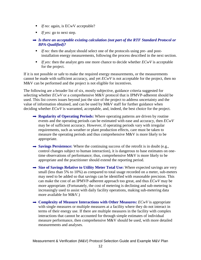- *If no:* again, is ECwV acceptable?
- *If yes:* go to next step.
- *Is there an acceptable existing calculation (not part of the RTF Standard Protocol or BPA-Qualified)?* 
	- **If no:** then the analyst should select one of the protocols using pre- and postinstallation energy measurements, following the process described in the next section.
	- $\blacksquare$  *If yes:* then the analyst gets one more chance to decide whether  $ECW$  is acceptable for the project.

If it is not possible or safe to make the required energy measurements, or the measurements cannot be made with sufficient accuracy, and yet *ECwV* is not acceptable for the project, then no M&V can be performed and the project is not eligible for incentives.

The following are a broader list of six, mostly subjective, guidance criteria suggested for selecting whether *ECwV* or a comprehensive M&V protocol that is IPMVP-adherent should be used. This list covers issues beyond just the size of the project to address uncertainty and the value of information obtained, and can be used by M&V staff for further guidance when deciding whether  $ECWV$  is warranted, acceptable, and, indeed, the best choice for the project.

- **Regularity of Operating Periods:** Where operating patterns are driven by routine events and the operating periods can be estimated with ease and accuracy, then *ECwV* may be of sufficient accuracy. However, if operating periods vary with irregular requirements, such as weather or plant production effects, care must be taken to measure the operating periods and thus comprehensive M&V is more likely to be appropriate.
- $\rightarrow$  **Savings Persistence:** Where the continuing success of the retrofit is in doubt (e.g., control changes subject to human interaction), it is dangerous to base estimates on onetime observations of performance; thus, comprehensive M&V is more likely to be appropriate and the practitioner should extend the reporting period.
- → Size of Savings Relative to Utility Meter Total Use: Where expected savings are very small (less than 5% to 10%) as compared to total usage recorded on a meter, sub-meters may need to be added so that savings can be identified with reasonable precision. This can make the cost of an IPMVP-adherent approach too great, and thus *ECwV* may be more appropriate. (Fortunately, the cost of metering is declining and sub-metering is increasingly used to assist with daily facility operations, making sub-metering data more available for M&V.)
- **→ Complexity of Measure Interactions with Other Measures:** *ECwV* **is appropriate** with single measures or multiple measures at a facility where they do not interact in terms of their energy use. If there are multiple measures in the facility with complex interactions that cannot be accounted for through simple estimates of individual measure performance, then comprehensive M&V should be used, with more detailed measurements and analyses.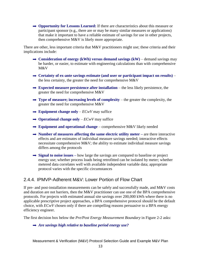**→ Opportunity for Lessons Learned:** If there are characteristics about this measure or participant sponsor (e.g., there are or may be many similar measures or applications) that make it important to have a reliable estimate of savings for use in other projects, then comprehensive M&V is likely more appropriate.

There are other, less important criteria that M&V practitioners might use; these criteria and their implications include:

- **→ Consideration of energy (kWh) versus demand savings (kW)** demand savings may be harder, or easier, to estimate with engineering calculations than with comprehensive M&V
- **Certainty of ex-ante savings estimate (and user or participant impact on results)** the less certainty, the greater the need for comprehensive M&V
- **Expected measure persistence after installation** the less likely persistence, the greater the need for comprehensive M&V
- $\rightarrow$  Type of measure; increasing levels of complexity the greater the complexity, the greater the need for comprehensive M&V
- $\rightarrow$  **Equipment change only** *ECwV* may suffice
- $\rightarrow$  **Operational change only** *ECwV* may suffice
- $\rightarrow$  **Equipment and operational change** comprehensive M&V likely needed
- → **Number of measures affecting the same electric utility meter are there interactive** effects and are estimates of individual measure savings needed; interactive effects necessitate comprehensive M&V; the ability to estimate individual measure savings differs among the protocols
- **→ Signal to noise issues** how large the savings are compared to baseline or project energy use; whether process loads being retrofitted can be isolated by meter; whether metered data correlates well with available independent variable data; appropriate protocol varies with the specific circumstances

### <span id="page-15-0"></span>2.4.4. IPMVP-Adherent M&V: Lower Portion of Flow Chart

If pre- and post-installation measurements can be safely and successfully made, and M&V costs and duration are not barriers, then the M&V practitioner can use one of the BPA comprehensive protocols. For projects with estimated annual site savings over 200,000 kWh where there is no applicable prescriptive project approaches, a BPA comprehensive protocol should be the default choice, with *ECwV* chosen only if there are compelling reasons persuasive to a BPA energy efficiency engineer.

The first decision box below the *Pre/Post Energy Measurement Boundary* in [Figure 2-2](#page-11-0) asks:

#### *Are savings high relative to baseline period energy use?*

Measurement & Verification (M&V) Protocol Selection Guide and Example M&V Plan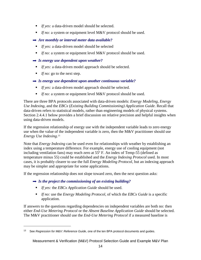- *If yes:* a data-driven model should be selected.
- *If no:* a system or equipment level M&V protocol should be used.
- *Are monthly or interval meter data available?*
	- *If yes:* a data-driven model should be selected
- *If no:* a system or equipment level M&V protocol should be used.
- *Is energy use dependent upon weather?* 
	- *If yes:* a data-driven model approach should be selected.
	- *If no:* go to the next step.
- *Is energy use dependent upon another continuous variable?* 
	- *If yes:* a data-driven model approach should be selected.
	- *If no:* a system or equipment level M&V protocol should be used.

There are three BPA protocols associated with data-driven models: *Energy Modeling*, *Energy Use Indexing*, and the *EBCx* (*Existing Building Commissioning) Application Guide*. Recall that data-driven refers to statistical models, rather than engineering models of physical systems. Section [2.4.4.1](#page-17-0) below provides a brief discussion on relative precision and helpful insights when using data-driven models.

If the regression relationship of energy use with the independent variable leads to zero energy use when the value of the independent variable is zero, then the M&V practitioner should use *Energy Use Indexing*. 13

Note that *Energy Indexing* can be used even for relationships with weather by establishing an index using a temperature difference. For example, energy use of cooling equipment (not including ventilation fans) may reach zero at 55º F. An index of Temp-55 (defined as temperature minus 55) could be established and the *Energy Indexing Protocol* used. In most cases, it is probably clearer to use the full *Energy Modeling Protocol*, but an indexing approach may be simpler and appropriate for some applications.

If the regression relationship does not slope toward zero, then the next question asks:

- *Is the project the commissioning of an existing building?* 
	- *If yes:* the *EBCx Application Guide* should be used.

 $\overline{a}$ 

■ *If no:* use the *Energy Modeling Protocol*, of which the *EBCx Guide* is a specific application.

If answers to the questions regarding dependencies on independent variables are both no: then either *End-Use Metering Protocol* or the *Absent Baseline Application Guide* should be selected. The M&V practitioner should use the *End-Use Metering Protocol* if a measured baseline is

<sup>13</sup> See *Regression for M&V: Reference Guide*, one of the ten BPA protocol documents and guides.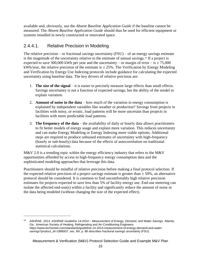available and, obviously, use the *Absent Baseline Application Guide* if the baseline cannot be measured. The *Absent Baseline Application Guide* should thus be used for efficient equipment or systems installed in newly constructed or renovated space.

## <span id="page-17-0"></span>2.4.4.1. Relative Precision in Modeling

 $\overline{a}$ 

The relative precision – or fractional savings uncertainty  $(FSU)$  – of an energy savings estimate is the magnitude of the uncertainty relative to the estimate of annual savings.<sup>14</sup> If a project is expected to save 300,000 kWh per year and the uncertainty – or margin of error – is  $\pm 75,000$ kWh/year, the relative precision of the estimate is  $\pm 25\%$ . The Verification by Energy Modeling and Verification by Energy Use Indexing protocols include guidance for calculating the expected uncertainty using baseline data. The key drivers of relative precision are:

- 1. **The size of the signal** it is easier to precisely measure large effects than small effects. Savings uncertainty is not a function of expected savings, but the ability of the model to explain variation.
- 2. **Amount of noise in the data** how much of the variation in energy consumption is explained by independent variables like weather or production? Savings from projects in facilities with noisy, or erratic, load patterns will be more uncertain than projects in facilities with more predictable load patterns.
- 3. **The frequency of the data** the availability of daily or hourly data allows practitioners to fit better models of energy usage and explain more variation. This reduces uncertainty and can make Energy Modeling or Energy Indexing more viable options. Additional steps are required to produce unbiased estimates of uncertainty with high-frequency (hourly or sub-hourly) data because of the effects of autocorrelation on traditional statistical calculations.

M&V 2.0 is a trending topic within the energy efficiency industry that refers to the M&V opportunities afforded by access to high-frequency energy consumption data and the sophisticated modeling approaches that leverage this data.

Practitioners should be mindful of relative precision before making a final protocol selection. If the expected relative precision of a project savings estimate is greater than  $\pm$  50%, an alternative protocol should be considered. It is common to find uncomfortably high relative precision estimates for projects expected to save less than 5% of facility energy use. End-use metering can isolate the affected end-use(s) within a facility and significantly reduce the amount of noise in the data being modeled (without changing the size of the expected effect).

<sup>14</sup> ASHRAE. 2014. *ASHRAE Guideline 14-2014 – Measurement of Energy, Demand, and Water Savings*. Atlanta, Ga.: American Society of Heating, Refrigerating and Air-Conditioning Engineers. https://www.techstreet.com/standards/guideline-14-2014-measurement-of-energy-demand-and-watersavings?product\_id=1888937, sec. B4, p. 88 describes fractional savings uncertainty (FSU).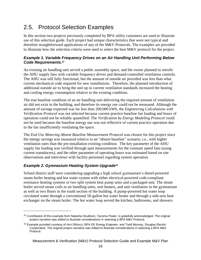# <span id="page-18-0"></span>2.5. Protocol Selection Examples

In this section two projects previously completed by BPA utility customers are used to illustrate use of this selection guide. Each project had unique characteristics that were not typical and therefore straightforward applications of any of the M&V Protocols. The examples are provided to illustrate how the selection criteria were used to select the best M&V protocol for the project.

#### *Example 1. Variable Frequency Drives on an Air Handling Unit Performing Below Code Requirements.<sup>15</sup>*

An existing air handling unit served a public assembly space, and the owner planned to retrofit the AHU supply fans with variable frequency drives and demand-controlled ventilation controls. The AHU was still fully functional, but the amount of outside air provided was less than what current mechanical code required for new installations. Therefore, the planned introduction of additional outside air to bring the unit up to current ventilation standards increased the heating and cooling energy consumption relative to the existing condition.

The true baseline condition of an air handling unit delivering the required amount of ventilation air did not exist in the building, and therefore its energy use could not be measured. Although the amount of savings expected was far less than 200,000 kWh, the *Engineering Calculations with Verification Protocol* was not selected because current practice baseline fan loading and hours of operation could not be reliably quantified. The *Verification by Energy Modeling Protocol* could not be used because the baseline energy use was not reflective of current practice operation due to the fan insufficiently ventilating the space.

The *End Use Metering Absent Baseline Measurement Protocol* was chosen for this project since the energy savings was measured relative to an "absent baseline" scenario, i.e., with higher ventilation rates than the pre-installation existing condition. The key parameter of the AHU supply fan loading was verified through spot measurements for the constant speed fans (using current transducers), and the other parameter of operating hours was estimated based on site observations and interviews with facility personnel regarding system operation.

### *Example 2. Gymnasium Heating System Upgrade<sup>16</sup>*

 $\overline{a}$ 

School district staff were considering upgrading a high school gymnasium's diesel-powered steam boiler heating and hot water system with either electrical-powered code-compliant resistance heating systems or two split system heat pump units and a packaged unit. The steam boiler served steam coils in air handling units, unit heaters, and unit ventilators in the gymnasium as well as two floors in the south section of the building. A pump-powered hot water loop circulated water through a conventional 50-gallon hot water heater and through a side-arm heat exchanger on the steam boiler. The hot water loop served the kitchen, bathrooms, and showers.

<sup>15</sup> Contribution of this example from Natasha Houldson, Tacoma Power, is gratefully acknowledged. The original project narrative was edited to illustrate considerations in selecting a BPA M&V Protocol.

<sup>16</sup> Example provided courtesy of Ann DiNucci, BPA EE Energy Engineer, and Todd Munsey, Douglas Electric Cooperative. The original project narrative was edited to illustrate considerations in selecting a BPA M&V Protocol.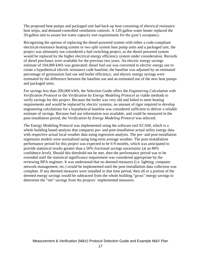The proposed heat pumps and packaged unit had back-up heat consisting of electrical resistance heat strips, and demand-controlled ventilation controls. A 120-gallon water heater replaced the 50-gallon unit to assure hot water capacity met requirements for the gym's occupancy.

Recognizing the options of replacing the diesel-powered system with either a code-compliant electrical-resistance heating system or two split system heat pump units and a packaged unit, the project was ultimately not considered a fuel switching project, as the diesel-powered system would be replaced by the higher electrical energy efficiency system under consideration. Records of diesel purchases were available for the previous two years. An electric energy savings estimate of 104,000 kWh was generated: diesel fuel use was converted to electric energy use to create a hypothetical electric resistance code baseline, the baseline was adjusted by an estimated percentage of gymnasium fuel use and boiler efficiency, and electric energy savings were estimated by the difference between the baseline use and an estimated use of the new heat pumps and packaged units.

For savings less than 200,000 kWh, the Selection Guide offers the *Engineering Calculation with Verification Protocol* or the *Verification by Energy Modeling Protocol* as viable methods to verify savings for this project. Because the boiler was very old and failed to meet heating requirements and would be replaced by electric systems, no amount of rigor required to develop engineering calculations for a hypothetical baseline was considered sufficient to deliver a reliable estimate of savings. Because fuel use information was available, and could be measured in the post-installation period, the *Verification by Energy Modeling Protocol* was selected.

The Energy Modeling Protocol was implemented using the software tool ECAM, which is a whole building based analysis that compares pre- and post-installation actual utility energy data with respective actual local weather data using regression analysis. The pre- and post-installation regression models were normalized using long-term average weather. The post-installation performance period for this project was expected to be 6‐9 months, which was anticipated to provide statistical results greater than a 50% fractional savings uncertainty (at an 80% confidence level). Should this threshold not be met, then the performance period was to be extended until the statistical significance requirement was considered appropriate by the reviewing BPA engineer. It was understood that no deemed measures (i.e. lighting, computer network management, etc.) would be implemented until the post‐installation data collection was complete. If any deemed measures were installed in that time period, then all or a portion of the deemed energy savings would be subtracted from the whole building "gross" energy savings to determine the "net" savings from the projects' implemented measures.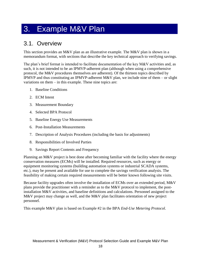# <span id="page-20-0"></span>3. Example M&V Plan

# <span id="page-20-1"></span>3.1. Overview

This section provides an M&V plan as an illustrative example. The M&V plan is shown in a memorandum format, with sections that describe the key technical approach to verifying savings.

The plan's brief format is intended to facilitate documentation of the key M&V activities and, as such, it is not intended to be an IPMVP-adherent plan (although when using a comprehensive protocol, the M&V procedures themselves are adherent). Of the thirteen topics described by IPMVP and thus constituting an IPMVP-adherent M&V plan, we include nine of them – or slight variations on them – in this example. These nine topics are:

- 1. Baseline Conditions
- 2. ECM Intent
- 3. Measurement Boundary
- 4. Selected BPA Protocol
- 5. Baseline Energy Use Measurements
- 6. Post-Installation Measurements
- 7. Description of Analysis Procedures (including the basis for adjustments)
- 8. Responsibilities of Involved Parties
- 9. Savings Report Contents and Frequency

Planning an M&V project is best done after becoming familiar with the facility where the energy conservation measures (ECMs) will be installed. Required resources, such as energy or equipment monitoring systems (building automation systems or industrial SCADA systems, etc.), may be present and available for use to complete the savings verification analysis. The feasibility of making certain required measurements will be better known following site visits.

Because facility upgrades often involve the installation of ECMs over an extended period, M&V plans provide the practitioner with a reminder as to the M&V protocol to implement, the postinstallation M&V activities, and baseline definitions and calculations. Personnel assigned to the M&V project may change as well, and the M&V plan facilitates orientation of new project personnel.

This example M&V plan is based on Example #2 in the BPA *End-Use Metering Protocol*.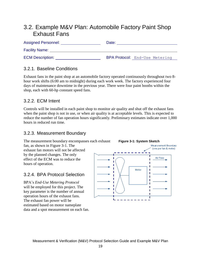# <span id="page-21-0"></span>3.2. Example M&V Plan: Automobile Factory Paint Shop Exhaust Fans

| <b>Assigned Personnel:</b> | Date:                                 |  |  |
|----------------------------|---------------------------------------|--|--|
| <b>Facility Name:</b>      |                                       |  |  |
| <b>ECM Description:</b>    | <b>BPA Protocol:</b> End-Use Metering |  |  |

### <span id="page-21-1"></span>3.2.1. Baseline Conditions

Exhaust fans in the paint shop at an automobile factory operated continuously throughout two 8 hour work shifts (6:00 am to midnight) during each work week. The factory experienced four days of maintenance downtime in the previous year. There were four paint booths within the shop, each with 60-hp constant speed fans.

### <span id="page-21-2"></span>3.2.2. ECM Intent

Controls will be installed in each paint shop to monitor air quality and shut off the exhaust fans when the paint shop is not in use, or when air quality is at acceptable levels. This is expected to reduce the number of fan operation hours significantly. Preliminary estimates indicate over 1,000 hours in reduced run time.

### <span id="page-21-3"></span>3.2.3. Measurement Boundary

The measurement boundary encompasses each exhaust

fan, as shown in [Figure 3-1.](#page-21-5) The exhaust fan motors will not be affected by the planned changes. The only effect of the ECM was to reduce the hours of operation.

## <span id="page-21-4"></span>3.2.4. BPA Protocol Selection

BPA's *End-Use Metering Protocol* will be employed for this project. The key parameter is the number of annual operation hours of the exhaust fans. The exhaust fan power will be estimated based on motor nameplate data and a spot measurement on each fan.

<span id="page-21-5"></span>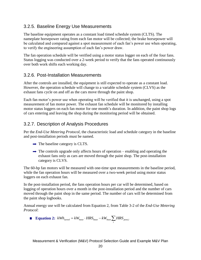### <span id="page-22-0"></span>3.2.5. Baseline Energy Use Measurements

The baseline equipment operates as a constant load timed schedule system (CLTS). The nameplate horsepower rating from each fan motor will be collected; the brake horsepower will be calculated and compared against a spot measurement of each fan's power use when operating, to verify the engineering assumption of each fan's power draw.

The fan operation schedule will be verified using a motor status logger on each of the four fans. Status logging was conducted over a 2-week period to verify that the fans operated continuously over both work shifts each working day.

### <span id="page-22-1"></span>3.2.6. Post-Installation Measurements

After the controls are installed, the equipment is still expected to operate as a constant load. However, the operation schedule will change to a variable schedule system (CLVS) as the exhaust fans cycle on and off as the cars move through the paint shop.

Each fan motor's power use when operating will be verified that it is unchanged, using a spot measurement of fan motor power. The exhaust fan schedule will be monitored by installing motor status loggers on each fan motor for one month's duration. In addition, the paint shop logs of cars entering and leaving the shop during the monitoring period will be obtained.

### <span id="page-22-2"></span>3.2.7. Description of Analysis Procedures

Per the *End-Use Metering Protocol*, the characteristic load and schedule category in the baseline and post-installation periods must be named.

- $\rightarrow$  The baseline category is CLTS.
- $\rightarrow$  The controls upgrade only affects hours of operation enabling and operating the exhaust fans only as cars are moved through the paint shop. The post-installation category is CLVS.

The 60-hp fan motors will be measured with one-time spot measurements in the baseline period, while the fan operation hours will be measured over a two-week period using motor status loggers on each exhaust fan.

In the post-installation period, the fans operation hours per car will be determined, based on logging of operation hours over a month in the post-installation period and the number of cars moved through the paint shop in the same period. The number of cars will be determined from the paint shop logbooks.

Annual energy use will be calculated from Equation 2, from Table 3-2 of the *End-Use Metering Protocol*:

**■ Equation 2:**  $kWh_{saved} = kW_{base} \cdot HRS_{base} - kW_{base} \sum_{i} H$  $kWh_{saved} = kW_{base} \cdot HRS_{base} - kW_{base} \sum HRS_{post,i}$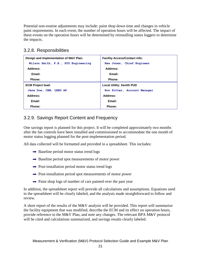Potential non-routine adjustments may include: paint shop down time and changes in vehicle paint requirements. In each event, the number of operation hours will be affected. The impact of these events on the operation hours will be determined by reinstalling status loggers to determine the impacts.

## <span id="page-23-0"></span>3.2.8. Responsibilities

| Design and Implementation of M&V Plan: | <b>Facility Access/Contact info:</b> |
|----------------------------------------|--------------------------------------|
| Wilson Smith, P.E., XYZ Engineering    | Rex Jones, Chief Engineer            |
| Address:                               | Address:                             |
| Email:                                 | Email:                               |
| Phone:                                 | Phone:                               |
| <b>ECM Project lead:</b>               | <b>Local Utility: Xenith PUD</b>     |
| Jane Doe, CEM, LEED AP                 | Ron Potter, Account Manager          |
| Address:                               | Address:                             |
| Email:                                 | Email:                               |
| Phone:                                 | Phone:                               |

## <span id="page-23-1"></span>3.2.9. Savings Report Content and Frequency

One savings report is planned for this project. It will be completed approximately two months after the fan controls have been installed and commissioned to accommodate the one month of motor status logging planned for the post-implementation period.

All data collected will be formatted and provided in a spreadsheet. This includes:

- $\rightarrow$  Baseline period motor status trend logs
- $\rightarrow$  Baseline period spot measurements of motor power
- $\rightarrow$  Post-installation period motor status trend logs
- $\rightarrow$  Post-installation period spot measurements of motor power
- $\rightarrow$  Paint shop logs of number of cars painted over the past year

In addition, the spreadsheet report will provide all calculations and assumptions. Equations used in the spreadsheet will be clearly labeled, and the analysis made straightforward to follow and review.

A short report of the results of the M&V analysis will be provided. This report will summarize the facility equipment that was modified, describe the ECM and its effect on operation hours, provide reference to the M&V Plan, and note any changes. The relevant BPA M&V protocol will be cited and calculations summarized, and savings results clearly labeled.